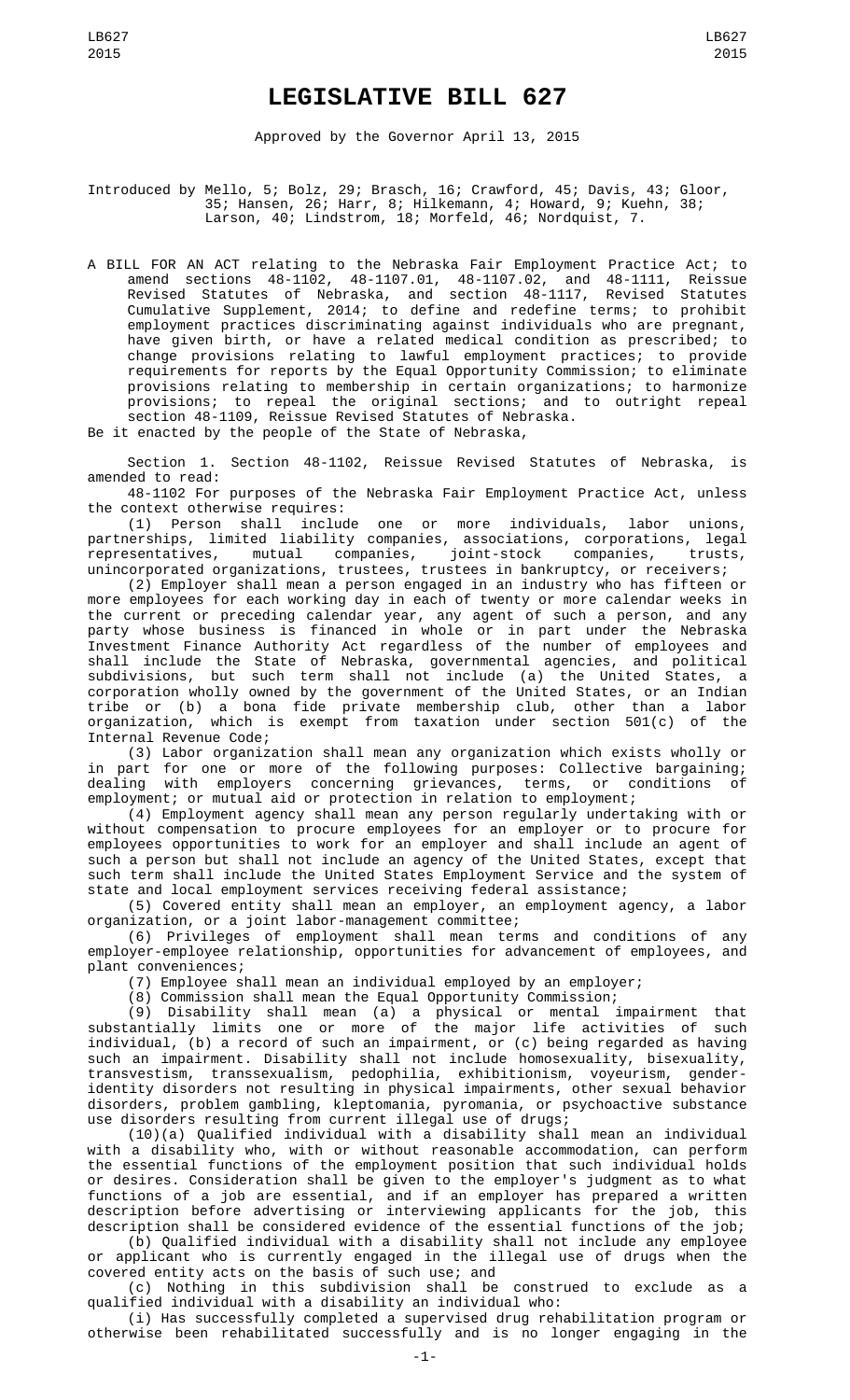## **LEGISLATIVE BILL 627**

Approved by the Governor April 13, 2015

Introduced by Mello, 5; Bolz, 29; Brasch, 16; Crawford, 45; Davis, 43; Gloor, 35; Hansen, 26; Harr, 8; Hilkemann, 4; Howard, 9; Kuehn, 38; Larson, 40; Lindstrom, 18; Morfeld, 46; Nordquist, 7.

A BILL FOR AN ACT relating to the Nebraska Fair Employment Practice Act; to amend sections 48-1102, 48-1107.01, 48-1107.02, and 48-1111, Reissue Revised Statutes of Nebraska, and section 48-1117, Revised Statutes Cumulative Supplement, 2014; to define and redefine terms; to prohibit employment practices discriminating against individuals who are pregnant, have given birth, or have a related medical condition as prescribed; to change provisions relating to lawful employment practices; to provide requirements for reports by the Equal Opportunity Commission; to eliminate provisions relating to membership in certain organizations; to harmonize provisions; to repeal the original sections; and to outright repeal section 48-1109, Reissue Revised Statutes of Nebraska.

Be it enacted by the people of the State of Nebraska,

Section 1. Section 48-1102, Reissue Revised Statutes of Nebraska, is amended to read:

48-1102 For purposes of the Nebraska Fair Employment Practice Act, unless the context otherwise requires:

(1) Person shall include one or more individuals, labor unions, partnerships, limited liability companies, associations, corporations, legal representatives, mutual companies, joint-stock companies, trusts, unincorporated organizations, trustees, trustees in bankruptcy, or receivers;

(2) Employer shall mean a person engaged in an industry who has fifteen or more employees for each working day in each of twenty or more calendar weeks in the current or preceding calendar year, any agent of such a person, and any party whose business is financed in whole or in part under the Nebraska Investment Finance Authority Act regardless of the number of employees and shall include the State of Nebraska, governmental agencies, and political subdivisions, but such term shall not include (a) the United States, a corporation wholly owned by the government of the United States, or an Indian tribe or (b) a bona fide private membership club, other than a labor organization, which is exempt from taxation under section 501(c) of the Internal Revenue Code;

(3) Labor organization shall mean any organization which exists wholly or in part for one or more of the following purposes: Collective bargaining; dealing with employers concerning grievances, terms, or conditions of employment; or mutual aid or protection in relation to employment;

(4) Employment agency shall mean any person regularly undertaking with or without compensation to procure employees for an employer or to procure for employees opportunities to work for an employer and shall include an agent of such a person but shall not include an agency of the United States, except that such term shall include the United States Employment Service and the system of state and local employment services receiving federal assistance;

(5) Covered entity shall mean an employer, an employment agency, a labor organization, or a joint labor-management committee;

(6) Privileges of employment shall mean terms and conditions of any employer-employee relationship, opportunities for advancement of employees, and plant conveniences;

(7) Employee shall mean an individual employed by an employer;

(8) Commission shall mean the Equal Opportunity Commission;

(9) Disability shall mean (a) a physical or mental impairment that substantially limits one or more of the major life activities of such individual, (b) a record of such an impairment, or (c) being regarded as having such an impairment. Disability shall not include homosexuality, bisexuality, transvestism, transsexualism, pedophilia, exhibitionism, voyeurism, genderidentity disorders not resulting in physical impairments, other sexual behavior disorders, problem gambling, kleptomania, pyromania, or psychoactive substance use disorders resulting from current illegal use of drugs;

(10)(a) Qualified individual with a disability shall mean an individual with a disability who, with or without reasonable accommodation, can perform the essential functions of the employment position that such individual holds or desires. Consideration shall be given to the employer's judgment as to what functions of a job are essential, and if an employer has prepared a written description before advertising or interviewing applicants for the job, this description shall be considered evidence of the essential functions of the job;

(b) Qualified individual with a disability shall not include any employee or applicant who is currently engaged in the illegal use of drugs when the covered entity acts on the basis of such use; and

(c) Nothing in this subdivision shall be construed to exclude as a qualified individual with a disability an individual who:

(i) Has successfully completed a supervised drug rehabilitation program or otherwise been rehabilitated successfully and is no longer engaging in the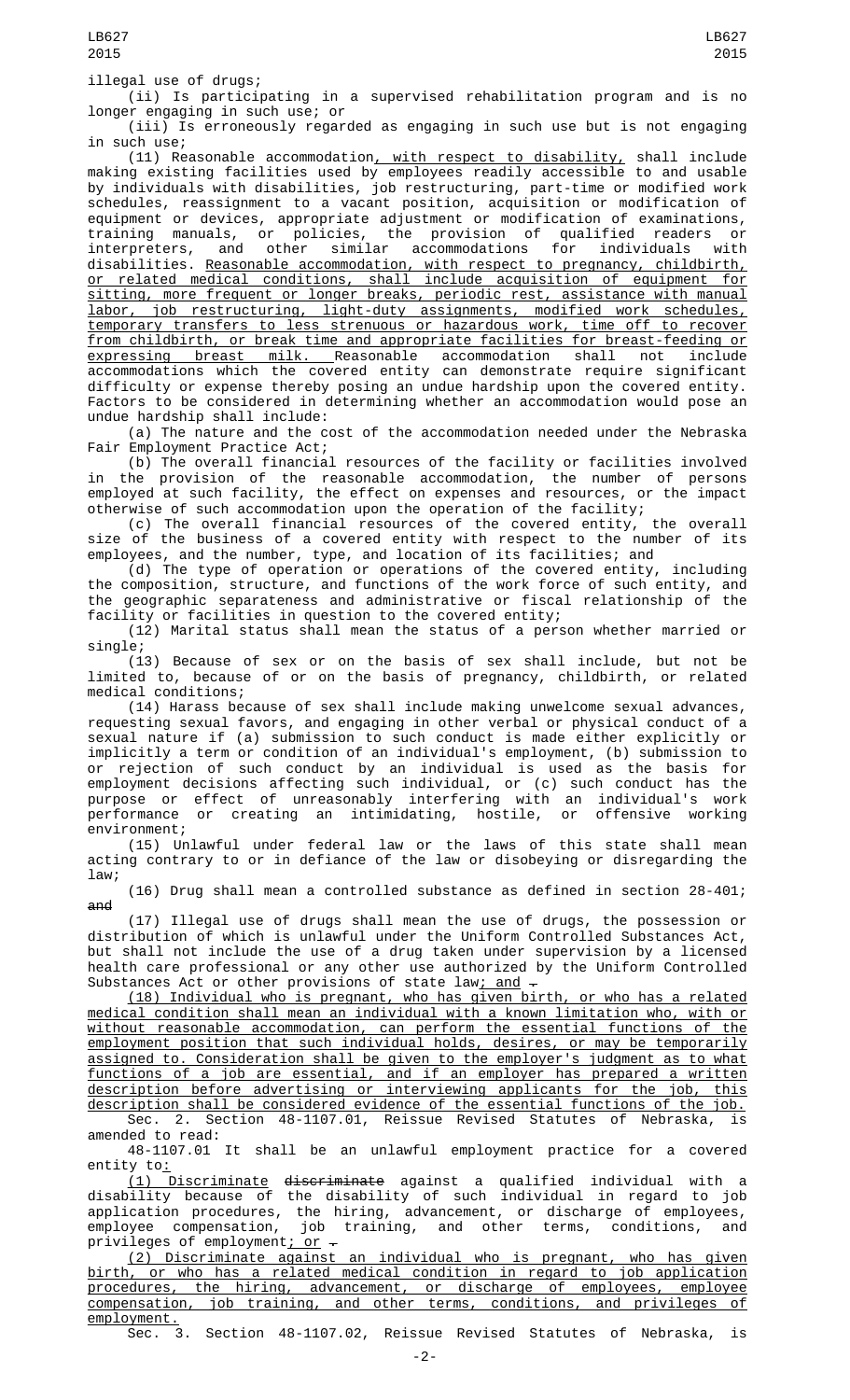(ii) Is participating in a supervised rehabilitation program and is no longer engaging in such use; or

(iii) Is erroneously regarded as engaging in such use but is not engaging in such use;

(11) Reasonable accommodation, with respect to disability, shall include making existing facilities used by employees readily accessible to and usable by individuals with disabilities, job restructuring, part-time or modified work schedules, reassignment to a vacant position, acquisition or modification of equipment or devices, appropriate adjustment or modification of examinations, training manuals, or policies, the provision of qualified readers or interpreters, and other similar accommodations for individuals with disabilities. Reasonable accommodation, with respect to pregnancy, childbirth, or related medical conditions, shall include acquisition of equipment for sitting, more frequent or longer breaks, periodic rest, assistance with manual labor, job restructuring, light-duty assignments, modified work schedules, temporary transfers to less strenuous or hazardous work, time off to recover from childbirth, or break time and appropriate facilities for breast-feeding or expressing breast milk. Reasonable accommodation shall not include accommodations which the covered entity can demonstrate require significant difficulty or expense thereby posing an undue hardship upon the covered entity. Factors to be considered in determining whether an accommodation would pose an undue hardship shall include:

(a) The nature and the cost of the accommodation needed under the Nebraska Fair Employment Practice Act;

(b) The overall financial resources of the facility or facilities involved in the provision of the reasonable accommodation, the number of persons employed at such facility, the effect on expenses and resources, or the impact otherwise of such accommodation upon the operation of the facility;

(c) The overall financial resources of the covered entity, the overall size of the business of a covered entity with respect to the number of its employees, and the number, type, and location of its facilities; and

(d) The type of operation or operations of the covered entity, including the composition, structure, and functions of the work force of such entity, and the geographic separateness and administrative or fiscal relationship of the facility or facilities in question to the covered entity;

(12) Marital status shall mean the status of a person whether married or single;

(13) Because of sex or on the basis of sex shall include, but not be limited to, because of or on the basis of pregnancy, childbirth, or related medical conditions;

(14) Harass because of sex shall include making unwelcome sexual advances, requesting sexual favors, and engaging in other verbal or physical conduct of a sexual nature if (a) submission to such conduct is made either explicitly or implicitly a term or condition of an individual's employment, (b) submission to or rejection of such conduct by an individual is used as the basis for employment decisions affecting such individual, or (c) such conduct has the purpose or effect of unreasonably interfering with an individual's work performance or creating an intimidating, hostile, or offensive working environment;

(15) Unlawful under federal law or the laws of this state shall mean acting contrary to or in defiance of the law or disobeying or disregarding the law;

(16) Drug shall mean a controlled substance as defined in section 28-401; and

(17) Illegal use of drugs shall mean the use of drugs, the possession or distribution of which is unlawful under the Uniform Controlled Substances Act, but shall not include the use of a drug taken under supervision by a licensed health care professional or any other use authorized by the Uniform Controlled Substances Act or other provisions of state law; and  $-$ 

(18) Individual who is pregnant, who has given birth, or who has a related medical condition shall mean an individual with a known limitation who, with or without reasonable accommodation, can perform the essential functions of the employment position that such individual holds, desires, or may be temporarily assigned to. Consideration shall be given to the employer's judgment as to what functions of a job are essential, and if an employer has prepared a written description before advertising or interviewing applicants for the job, this description shall be considered evidence of the essential functions of the job.

Sec. 2. Section 48-1107.01, Reissue Revised Statutes of Nebraska, is amended to read:

48-1107.01 It shall be an unlawful employment practice for a covered entity to:

(1) Discriminate discriminate against a qualified individual with a disability because of the disability of such individual in regard to job application procedures, the hiring, advancement, or discharge of employees, employee compensation, job training, and other terms, conditions, and privileges of employment<u>; or</u> —

(2) Discriminate against an individual who is pregnant, who has given birth, or who has a related medical condition in regard to job application<br>procedures, the hiring, advancement, or discharge of employees, employee<br>compensation, job training, and other terms, conditions, and privileges of procedures, the hiring, advancement, or discharge of employees, employee compensation, job training, and other terms, conditions, and privileges of employment.

Sec. 3. Section 48-1107.02, Reissue Revised Statutes of Nebraska, is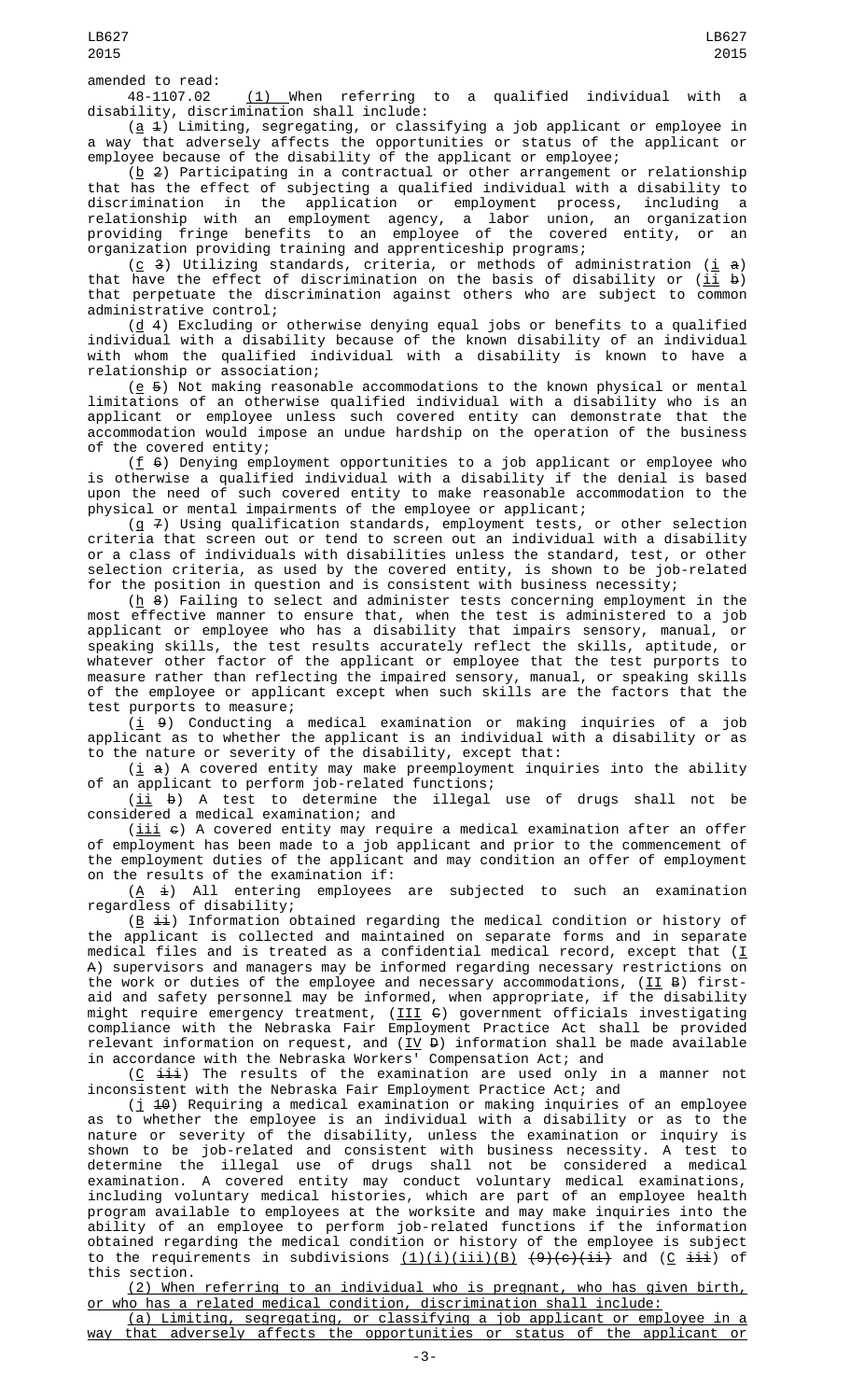48-1107.02 (1) When referring to a qualified individual with a disability, discrimination shall include:

(<u>a</u> 4) Limiting, segregating, or classifying a job applicant or employee in a way that adversely affects the opportunities or status of the applicant or employee because of the disability of the applicant or employee;

 $(\underline{b}$  2) Participating in a contractual or other arrangement or relationship that has the effect of subjecting a qualified individual with a disability to discrimination in the application or employment process, including a relationship with an employment agency, a labor union, an organization providing fringe benefits to an employee of the covered entity, or an organization providing training and apprenticeship programs;

(c 3) Utilizing standards, criteria, or methods of administration (<u>i</u>  $a$ ) that have the effect of discrimination on the basis of disability or (<u>ii</u> <del>b</del>) that perpetuate the discrimination against others who are subject to common administrative control;

(<u>d</u> 4) Excluding or otherwise denying equal jobs or benefits to a qualified individual with a disability because of the known disability of an individual with whom the qualified individual with a disability is known to have a relationship or association;

 $(e 5)$  Not making reasonable accommodations to the known physical or mental limitations of an otherwise qualified individual with a disability who is an applicant or employee unless such covered entity can demonstrate that the accommodation would impose an undue hardship on the operation of the business of the covered entity;

( $f$   $\theta$ ) Denying employment opportunities to a job applicant or employee who is otherwise a qualified individual with a disability if the denial is based upon the need of such covered entity to make reasonable accommodation to the physical or mental impairments of the employee or applicant;

(g  $7$ ) Using qualification standards, employment tests, or other selection criteria that screen out or tend to screen out an individual with a disability or a class of individuals with disabilities unless the standard, test, or other selection criteria, as used by the covered entity, is shown to be job-related for the position in question and is consistent with business necessity;

( $\underline{h}$  8) Failing to select and administer tests concerning employment in the most effective manner to ensure that, when the test is administered to a job applicant or employee who has a disability that impairs sensory, manual, or speaking skills, the test results accurately reflect the skills, aptitude, or whatever other factor of the applicant or employee that the test purports to measure rather than reflecting the impaired sensory, manual, or speaking skills of the employee or applicant except when such skills are the factors that the test purports to measure;

 $(\underline{i}$   $9)$  Conducting a medical examination or making inquiries of a job applicant as to whether the applicant is an individual with a disability or as to the nature or severity of the disability, except that:

 $(i$  a) A covered entity may make preemployment inquiries into the ability of an applicant to perform job-related functions;

 $(\underline{\texttt{ii}}$   $\texttt{b})$  A test to determine the illegal use of drugs shall not be considered a medical examination; and

 $(iii \in)$  A covered entity may require a medical examination after an offer of employment has been made to a job applicant and prior to the commencement of the employment duties of the applicant and may condition an offer of employment on the results of the examination if:

 $(\underline{A} \dot{a})$  All entering employees are subjected to such an examination regardless of disability;

(<u>B</u>  $\pm\pm$ ) Information obtained regarding the medical condition or history of the applicant is collected and maintained on separate forms and in separate medical files and is treated as a confidential medical record, except that (<u>I</u> A) supervisors and managers may be informed regarding necessary restrictions on the work or duties of the employee and necessary accommodations, (II B) firstaid and safety personnel may be informed, when appropriate, if the disability might require emergency treatment, (III C) government officials investigating compliance with the Nebraska Fair Employment Practice Act shall be provided relevant information on request, and ( $\underline{\text{IV}}$  <del>D</del>) information shall be made available in accordance with the Nebraska Workers' Compensation Act; and

( $\underline{C}$  iii) The results of the examination are used only in a manner not inconsistent with the Nebraska Fair Employment Practice Act; and

 $(j$  <del>10</del>) Requiring a medical examination or making inquiries of an employee as to whether the employee is an individual with a disability or as to the nature or severity of the disability, unless the examination or inquiry is shown to be job-related and consistent with business necessity. A test to determine the illegal use of drugs shall not be considered a medical examination. A covered entity may conduct voluntary medical examinations, including voluntary medical histories, which are part of an employee health program available to employees at the worksite and may make inquiries into the ability of an employee to perform job-related functions if the information obtained regarding the medical condition or history of the employee is subject to the requirements in subdivisions <u>(1)(i)(iii)(B)</u> <del>(9)(c)(ii)</del> and (<u>C</u> <del>iii</del>) of this section.

(2) When referring to an individual who is pregnant, who has given birth, or who has a related medical condition, discrimination shall include:

(a) Limiting, segregating, or classifying a job applicant or employee in a way that adversely affects the opportunities or status of the applicant or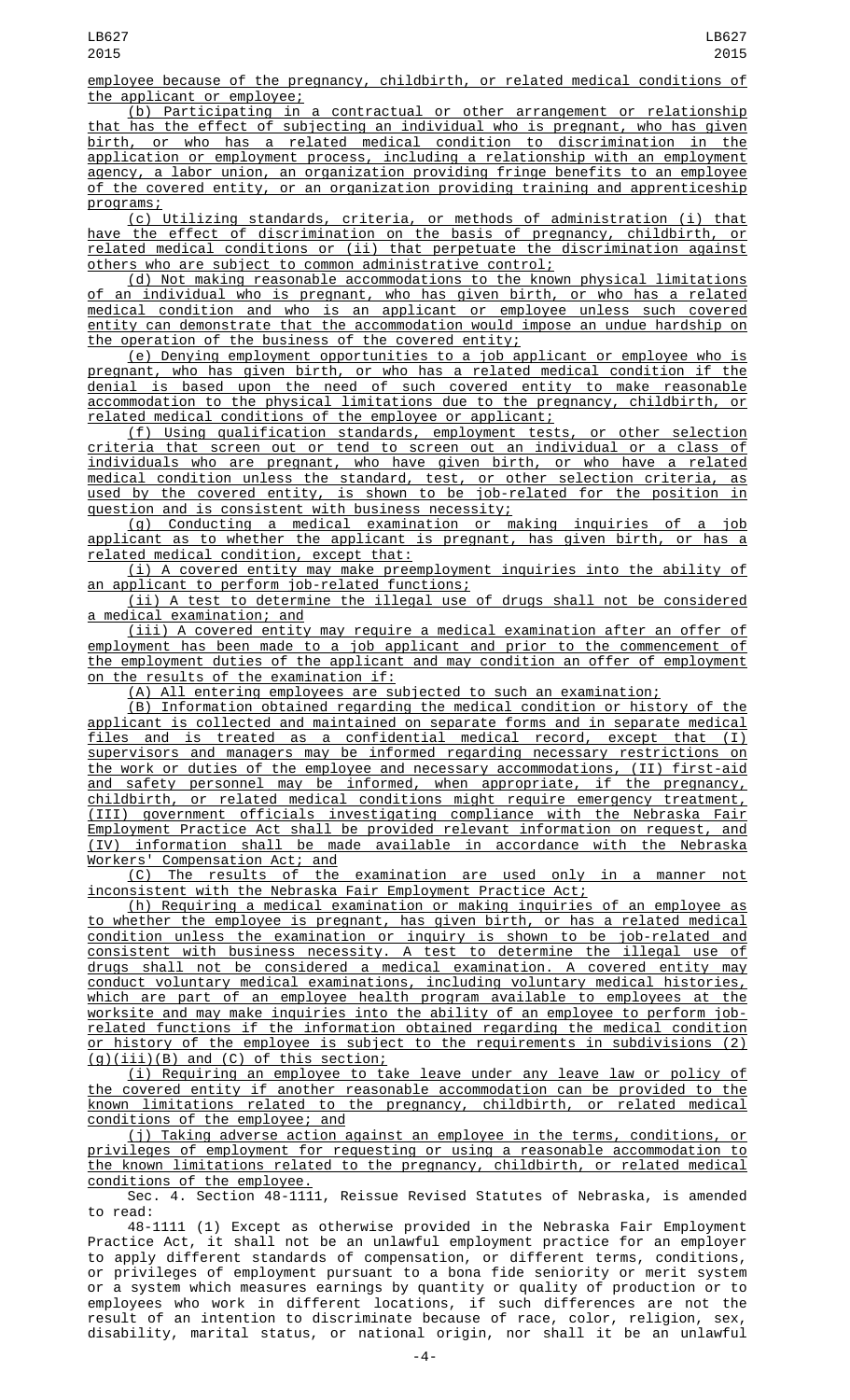employee because of the pregnancy, childbirth, or related medical conditions of the applicant or employee;

(b) Participating in a contractual or other arrangement or relationship that has the effect of subjecting an individual who is pregnant, who has given birth, or who has a related medical condition to discrimination in the application or employment process, including a relationship with an employment agency, a labor union, an organization providing fringe benefits to an employee of the covered entity, or an organization providing training and apprenticeship programs;

(c) Utilizing standards, criteria, or methods of administration (i) that have the effect of discrimination on the basis of pregnancy, childbirth, or related medical conditions or (ii) that perpetuate the discrimination against others who are subject to common administrative control;

(d) Not making reasonable accommodations to the known physical limitations an individual who is pregnant, who has given birth, or who has a related medical condition and who is an applicant or employee unless such covered entity can demonstrate that the accommodation would impose an undue hardship on the operation of the business of the covered entity;

(e) Denying employment opportunities to a job applicant or employee who is pregnant, who has given birth, or who has a related medical condition if the denial is based upon the need of such covered entity to make reasonable accommodation to the physical limitations due to the pregnancy, childbirth, or related medical conditions of the employee or applicant;

(f) Using qualification standards, employment tests, or other selection criteria that screen out or tend to screen out an individual or a class of individuals who are pregnant, who have given birth, or who have a related medical condition unless the standard, test, or other selection criteria, as used by the covered entity, is shown to be job-related for the position in question and is consistent with business necessity;

(g) Conducting a medical examination or making inquiries of a job applicant as to whether the applicant is pregnant, has given birth, or has a related medical condition, except that:

(i) A covered entity may make preemployment inquiries into the ability of an applicant to perform job-related functions;

(ii) A test to determine the illegal use of drugs shall not be considered a medical examination; and

(iii) A covered entity may require a medical examination after an offer of employment has been made to a job applicant and prior to the commencement of the employment duties of the applicant and may condition an offer of employment on the results of the examination if:

(A) All entering employees are subjected to such an examination;

(B) Information obtained regarding the medical condition or history of the applicant is collected and maintained on separate forms and in separate medical files and is treated as a confidential medical record, except that (I) supervisors and managers may be informed regarding necessary restrictions on the work or duties of the employee and necessary accommodations, (II) first-aid and safety personnel may be informed, when appropriate, if the pregnancy, childbirth, or related medical conditions might require emergency treatment, (III) government officials investigating compliance with the Nebraska Fair Employment Practice Act shall be provided relevant information on request, and (IV) information shall be made available in accordance with the Nebraska

Workers' Compensation Act; and examination are used only in a manner inconsistent with the Nebraska Fair Employment Practice Act;

(h) Requiring a medical examination or making inquiries of an employee as to whether the employee is pregnant, has given birth, or has a related medical condition unless the examination or inquiry is shown to be job-related and consistent with business necessity. A test to determine the illegal use of drugs shall not be considered a medical examination. A covered entity may conduct voluntary medical examinations, including voluntary medical histories, which are part of an employee health program available to employees at the worksite and may make inquiries into the ability of an employee to perform jobrelated functions if the information obtained regarding the medical condition or history of the employee is subject to the requirements in subdivisions (2) (g)(iii)(B) and (C) of this section;

(i) Requiring an employee to take leave under any leave law or policy of the covered entity if another reasonable accommodation can be provided to the known limitations related to the pregnancy, childbirth, or related medical conditions of the employee; and

(j) Taking adverse action against an employee in the terms, conditions, or privileges of employment for requesting or using a reasonable accommodation to the known limitations related to the pregnancy, childbirth, or related medical conditions of the employee.

Sec. 4. Section 48-1111, Reissue Revised Statutes of Nebraska, is amended to read:

48-1111 (1) Except as otherwise provided in the Nebraska Fair Employment Practice Act, it shall not be an unlawful employment practice for an employer to apply different standards of compensation, or different terms, conditions, or privileges of employment pursuant to a bona fide seniority or merit system or a system which measures earnings by quantity or quality of production or to employees who work in different locations, if such differences are not the result of an intention to discriminate because of race, color, religion, sex, disability, marital status, or national origin, nor shall it be an unlawful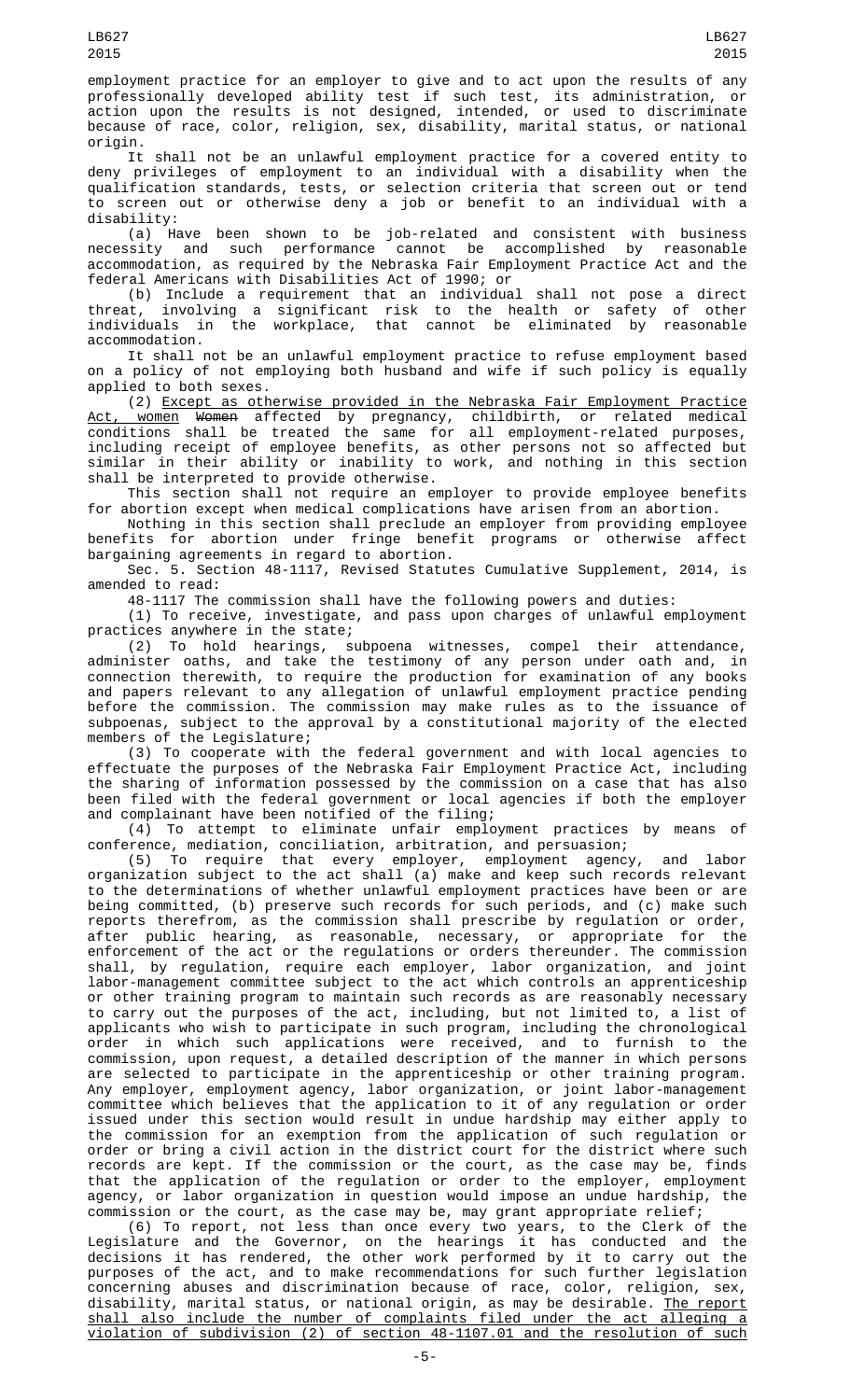employment practice for an employer to give and to act upon the results of any professionally developed ability test if such test, its administration, or action upon the results is not designed, intended, or used to discriminate because of race, color, religion, sex, disability, marital status, or national origin.

It shall not be an unlawful employment practice for a covered entity to deny privileges of employment to an individual with a disability when the qualification standards, tests, or selection criteria that screen out or tend to screen out or otherwise deny a job or benefit to an individual with a disability:

(a) Have been shown to be job-related and consistent with business necessity and such performance cannot be accomplished by reasonable accommodation, as required by the Nebraska Fair Employment Practice Act and the federal Americans with Disabilities Act of 1990; or

(b) Include a requirement that an individual shall not pose a direct threat, involving a significant risk to the health or safety of other individuals in the workplace, that cannot be eliminated by reasonable accommodation.

It shall not be an unlawful employment practice to refuse employment based on a policy of not employing both husband and wife if such policy is equally applied to both sexes.

(2) Except as otherwise provided in the Nebraska Fair Employment Practice <u>Act, women</u> <del>Women</del> affected by pregnancy, childbirth, or related medical conditions shall be treated the same for all employment-related purposes, including receipt of employee benefits, as other persons not so affected but similar in their ability or inability to work, and nothing in this section shall be interpreted to provide otherwise.

This section shall not require an employer to provide employee benefits for abortion except when medical complications have arisen from an abortion.

Nothing in this section shall preclude an employer from providing employee benefits for abortion under fringe benefit programs or otherwise affect bargaining agreements in regard to abortion.

Sec. 5. Section 48-1117, Revised Statutes Cumulative Supplement, 2014, is amended to read:

48-1117 The commission shall have the following powers and duties:

(1) To receive, investigate, and pass upon charges of unlawful employment practices anywhere in the state;

(2) To hold hearings, subpoena witnesses, compel their attendance, administer oaths, and take the testimony of any person under oath and, in connection therewith, to require the production for examination of any books and papers relevant to any allegation of unlawful employment practice pending before the commission. The commission may make rules as to the issuance of subpoenas, subject to the approval by a constitutional majority of the elected members of the Legislature;

(3) To cooperate with the federal government and with local agencies to effectuate the purposes of the Nebraska Fair Employment Practice Act, including the sharing of information possessed by the commission on a case that has also been filed with the federal government or local agencies if both the employer and complainant have been notified of the filing;

(4) To attempt to eliminate unfair employment practices by means of conference, mediation, conciliation, arbitration, and persuasion;

(5) To require that every employer, employment agency, and labor organization subject to the act shall (a) make and keep such records relevant to the determinations of whether unlawful employment practices have been or are being committed, (b) preserve such records for such periods, and (c) make such reports therefrom, as the commission shall prescribe by regulation or order, after public hearing, as reasonable, necessary, or appropriate for the enforcement of the act or the regulations or orders thereunder. The commission shall, by regulation, require each employer, labor organization, and joint labor-management committee subject to the act which controls an apprenticeship or other training program to maintain such records as are reasonably necessary to carry out the purposes of the act, including, but not limited to, a list of applicants who wish to participate in such program, including the chronological order in which such applications were received, and to furnish to the  $common$ , upon request, a detailed description of the manner in which persons are selected to participate in the apprenticeship or other training program. Any employer, employment agency, labor organization, or joint labor-management committee which believes that the application to it of any regulation or order issued under this section would result in undue hardship may either apply to the commission for an exemption from the application of such regulation or order or bring a civil action in the district court for the district where such records are kept. If the commission or the court, as the case may be, finds that the application of the regulation or order to the employer, employment agency, or labor organization in question would impose an undue hardship, the commission or the court, as the case may be, may grant appropriate relief;

(6) To report, not less than once every two years, to the Clerk of the Legislature and the Governor, on the hearings it has conducted and the decisions it has rendered, the other work performed by it to carry out the purposes of the act, and to make recommendations for such further legislation concerning abuses and discrimination because of race, color, religion, sex, disability, marital status, or national origin, as may be desirable. <u>The report</u> shall also include the number of complaints filed under the act alleging a violation of subdivision (2) of section 48-1107.01 and the resolution of such